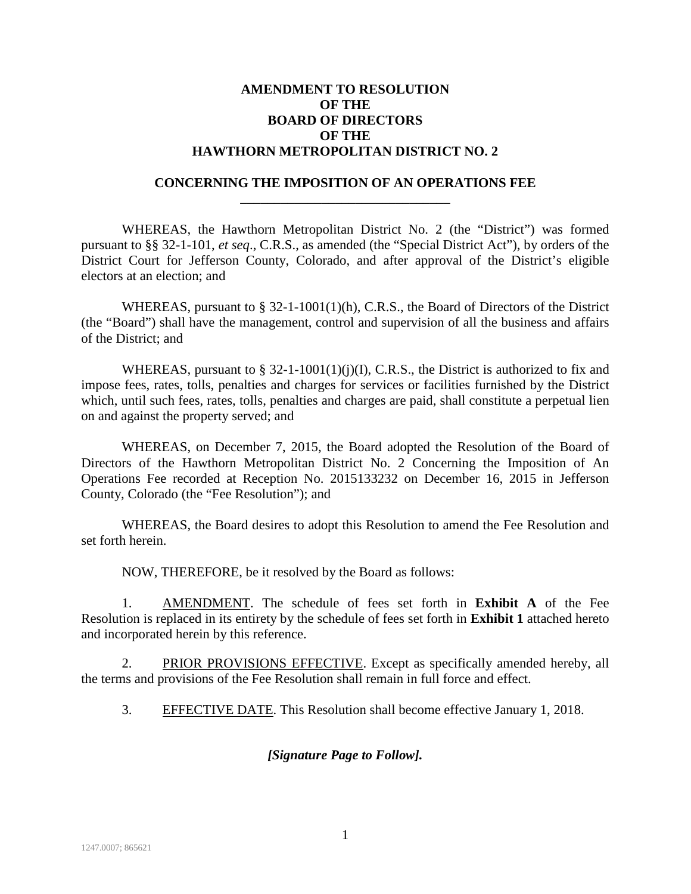### **AMENDMENT TO RESOLUTION OF THE BOARD OF DIRECTORS OF THE HAWTHORN METROPOLITAN DISTRICT NO. 2**

#### **CONCERNING THE IMPOSITION OF AN OPERATIONS FEE** \_\_\_\_\_\_\_\_\_\_\_\_\_\_\_\_\_\_\_\_\_\_\_\_\_\_\_\_\_\_\_

WHEREAS, the Hawthorn Metropolitan District No. 2 (the "District") was formed pursuant to §§ 32-1-101, *et seq*., C.R.S., as amended (the "Special District Act"), by orders of the District Court for Jefferson County, Colorado, and after approval of the District's eligible electors at an election; and

WHEREAS, pursuant to  $\S$  32-1-1001(1)(h), C.R.S., the Board of Directors of the District (the "Board") shall have the management, control and supervision of all the business and affairs of the District; and

WHEREAS, pursuant to  $\S$  32-1-1001(1)(j)(I), C.R.S., the District is authorized to fix and impose fees, rates, tolls, penalties and charges for services or facilities furnished by the District which, until such fees, rates, tolls, penalties and charges are paid, shall constitute a perpetual lien on and against the property served; and

WHEREAS, on December 7, 2015, the Board adopted the Resolution of the Board of Directors of the Hawthorn Metropolitan District No. 2 Concerning the Imposition of An Operations Fee recorded at Reception No. 2015133232 on December 16, 2015 in Jefferson County, Colorado (the "Fee Resolution"); and

WHEREAS, the Board desires to adopt this Resolution to amend the Fee Resolution and set forth herein.

NOW, THEREFORE, be it resolved by the Board as follows:

1. AMENDMENT. The schedule of fees set forth in **Exhibit A** of the Fee Resolution is replaced in its entirety by the schedule of fees set forth in **Exhibit 1** attached hereto and incorporated herein by this reference.

2. PRIOR PROVISIONS EFFECTIVE. Except as specifically amended hereby, all the terms and provisions of the Fee Resolution shall remain in full force and effect.

3. EFFECTIVE DATE. This Resolution shall become effective January 1, 2018.

#### *[Signature Page to Follow].*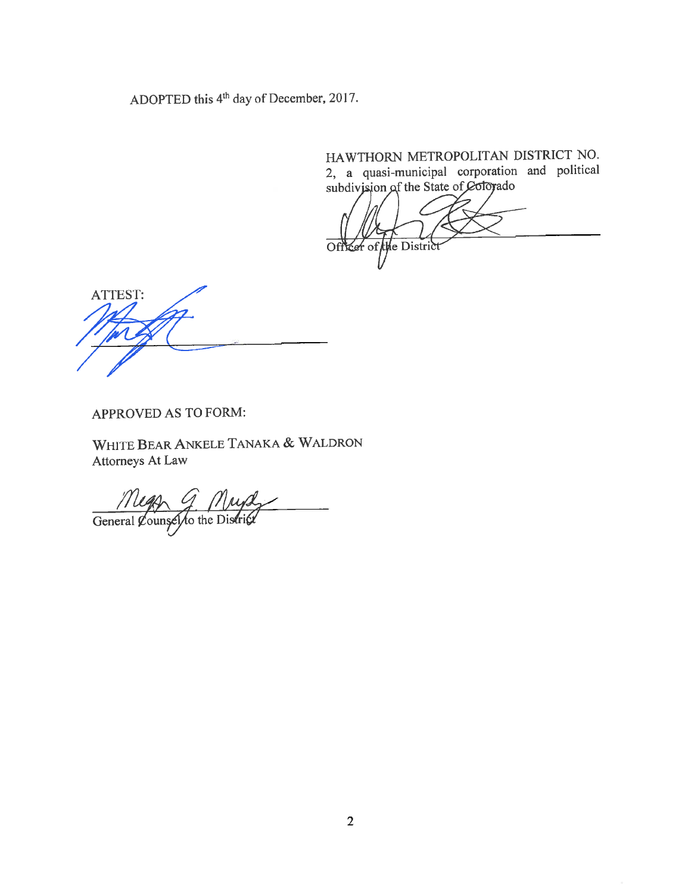ADOPTED this 4<sup>th</sup> day of December, 2017.

HAWTHORN METROPOLITAN DISTRICT NO. 2, a quasi-municipal corporation and political<br>subdivision of the State of Colorado

Cer of the District Off

ATTEST:

APPROVED AS TO FORM:

WHITE BEAR ANKELE TANAKA & WALDRON Attorneys At Law

General Counsel to the District